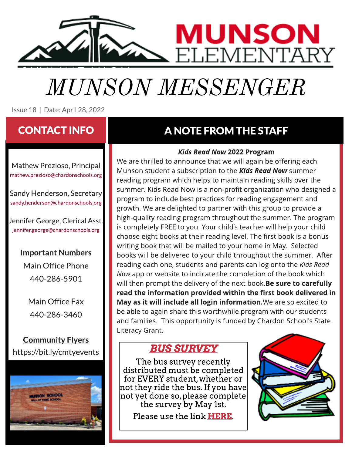

# **MUNSON MESSENGER**  $\frac{1}{\sqrt{2}}$

Issue 18 | Date: April 28,2022

Mathew Prezioso, Principal [mathew.prezioso@chardonschools.org](mailto:mathew.prezioso@chardonschools.org)

Sandy Henderson, Secretary [sandy.henderson@chardonschools.org](mailto:sandy.henderson@chardonschools.org)

Jennifer George, Clerical Asst. [jennifer.george@chardonschools.org](mailto:jennifer.george@chardonschools.org)

#### Important Numbers

Main Office Phone 440-286-5901

Main Office Fax 440-286-3460

Community Flyers <https://bit.ly/cmtyevents>



## CONTACT INFO **A** NOTE FROM THE STAFF

#### **Kids Read Now** 2022 Program

We are thrilled to announce that we will again be offering each Munson student a subscription to the **Kids Read Now** summer reading program which helps to maintain reading skills over the summer. Kids Read Now is a non-profit organization who designed a program to include best practices for reading engagement and growth. We are delighted to partner with this group to provide a high-quality reading program throughout the summer. The program is completely FREE to you. Your child's teacher will help your child choose eight books at their reading level. The first book is a bonus writing book that will be mailed to your home in May. Selected books will be delivered to your child throughout the summer. After reading each one, students and parents can log onto the Kids Read **Now** app or website to indicate the completion of the book which will then prompt the delivery of the next book. Be sure to carefully read the information provided within the first book delivered in May as it will include all login information. We are so excited to be able to again share this worthwhile program with our students and families. This opportunity is funded by Chardon School's State Literacy Grant.

#### **BUS SURVEY**

The bus survey recently distributed must be completed for EVERY student,whether or not they ride the bus. If you have not yet done so,please com plete the sur[vey](https://docs.google.com/forms/d/e/1FAIpQLScMnnBnSvKMqm0RcoAFwiwuWzxmeDZw9K8x4McRaO00ywzNpw/viewform?usp=sf_link) by May 1st.

Please use the link **H[ERE](https://docs.google.com/forms/d/e/1FAIpQLScMnnBnSvKMqm0RcoAFwiwuWzxmeDZw9K8x4McRaO00ywzNpw/viewform?usp=sf_link)**.